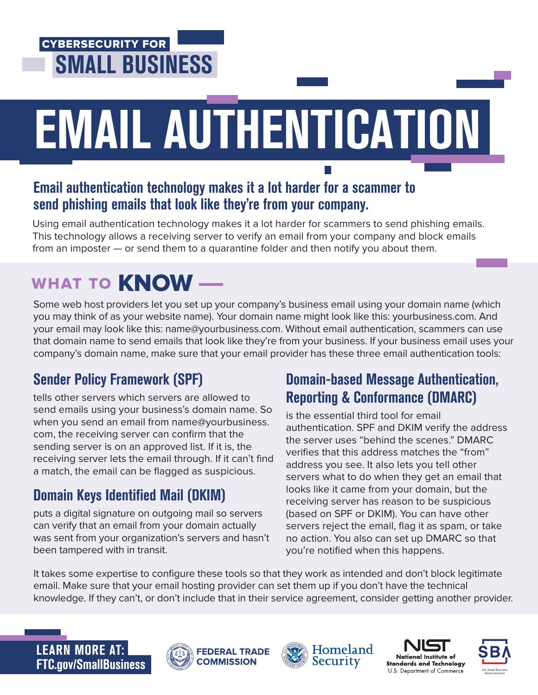## CYBERSECURITY FOR SMALL BUSINESS

# EMAIL AUTHENTICATION

#### Email authentication technology makes it a lot harder for a scammer to send phishing emails that look like they're from your company.

Using email authentication technology makes it a lot harder for scammers to send phishing emails. This technology allows a receiving server to verify an email from your company and block emails from an imposter — or send them to a quarantine folder and then notify you about them.

# WHAT TO **KNOW** —

Some web host providers let you set up your company's business email using your domain name (which you may think of as your website name). Your domain name might look like this: yourbusiness.com. And your email may look like this: name@yourbusiness.com. Without email authentication, scammers can use that domain name to send emails that look like they're from your business. If your business email uses your company's domain name, make sure that your email provider has these three email authentication tools:

## Sender Policy Framework (SPF)

tells other servers which servers are allowed to send emails using your business's domain name. So when you send an email from name@yourbusiness. com, the receiving server can confirm that the sending server is on an approved list. If it is, the receiving server lets the email through. If it can't find a match, the email can be flagged as suspicious.

## Domain Keys Identified Mail (DKIM)

puts a digital signature on outgoing mail so servers can verify that an email from your domain actually was sent from your organization's servers and hasn't been tampered with in transit.

#### Domain-based Message Authentication, Reporting & Conformance (DMARC)

is the essential third tool for email authentication. SPF and DKIM verify the address the server uses "behind the scenes." DMARC verifies that this address matches the "from" address you see. It also lets you tell other servers what to do when they get an email that looks like it came from your domain, but the receiving server has reason to be suspicious (based on SPF or DKIM). You can have other servers reject the email, flag it as spam, or take no action. You also can set up DMARC so that you're notified when this happens.

It takes some expertise to configure these tools so that they work as intended and don't block legitimate email. Make sure that your email hosting provider can set them up if you don't have the technical knowledge. If they can't, or don't include that in their service agreement, consider getting another provider.